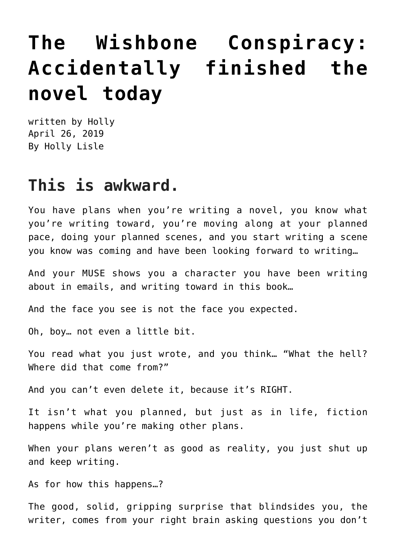## **[The Wishbone Conspiracy:](https://hollylisle.com/the-wishbone-conspiracy-accidentally-finished-the-novel-today/) [Accidentally finished the](https://hollylisle.com/the-wishbone-conspiracy-accidentally-finished-the-novel-today/) [novel today](https://hollylisle.com/the-wishbone-conspiracy-accidentally-finished-the-novel-today/)**

written by Holly April 26, 2019 [By Holly Lisle](https://hollylisle.com)

## **This is awkward.**

You have plans when you're writing a novel, you know what you're writing toward, you're moving along at your planned pace, doing your planned scenes, and you start writing a scene you know was coming and have been looking forward to writing…

And your MUSE shows you a character you have been writing about in emails, and writing toward in this book…

And the face you see is not the face you expected.

Oh, boy… not even a little bit.

You read what you just wrote, and you think… "What the hell? Where did that come from?"

And you can't even delete it, because it's RIGHT.

It isn't what you planned, but just as in life, fiction happens while you're making other plans.

When your plans weren't as good as reality, you just shut up and keep writing.

As for how this happens…?

The good, solid, gripping surprise that blindsides you, the writer, comes from your right brain asking questions you don't